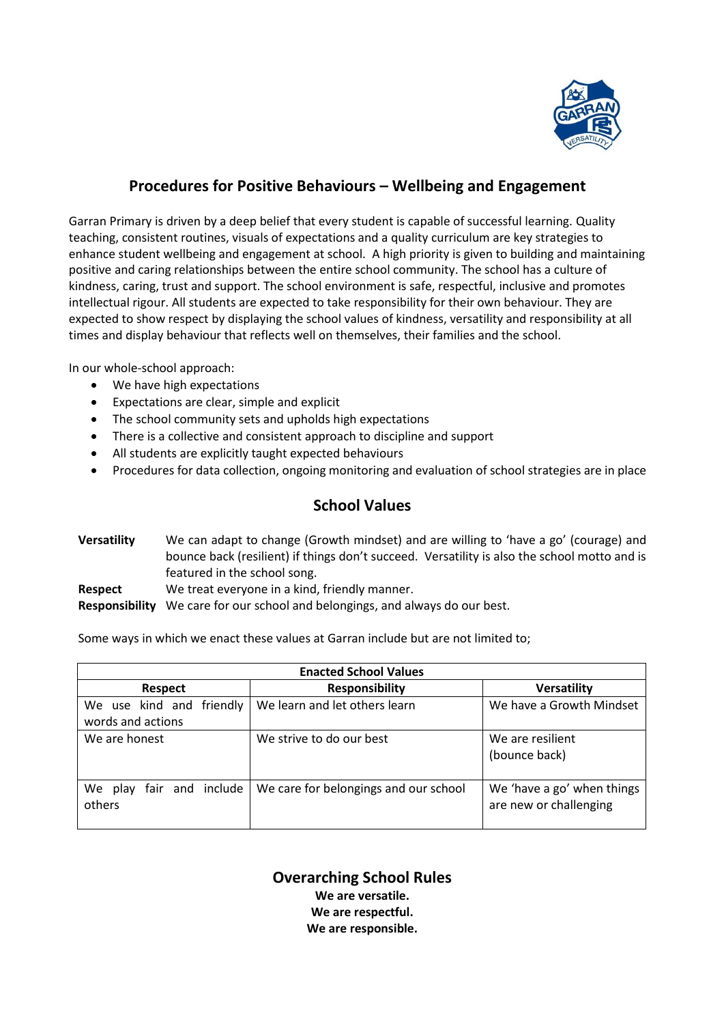

# **Procedures for Positive Behaviours – Wellbeing and Engagement**

Garran Primary is driven by a deep belief that every student is capable of successful learning. Quality teaching, consistent routines, visuals of expectations and a quality curriculum are key strategies to enhance student wellbeing and engagement at school. A high priority is given to building and maintaining positive and caring relationships between the entire school community. The school has a culture of kindness, caring, trust and support. The school environment is safe, respectful, inclusive and promotes intellectual rigour. All students are expected to take responsibility for their own behaviour. They are expected to show respect by displaying the school values of kindness, versatility and responsibility at all times and display behaviour that reflects well on themselves, their families and the school.

In our whole-school approach:

- We have high expectations
- Expectations are clear, simple and explicit
- The school community sets and upholds high expectations
- There is a collective and consistent approach to discipline and support
- All students are explicitly taught expected behaviours
- Procedures for data collection, ongoing monitoring and evaluation of school strategies are in place

# **School Values**

| <b>Versatility</b> | We can adapt to change (Growth mindset) and are willing to 'have a go' (courage) and         |  |  |
|--------------------|----------------------------------------------------------------------------------------------|--|--|
|                    | bounce back (resilient) if things don't succeed. Versatility is also the school motto and is |  |  |
|                    | featured in the school song.                                                                 |  |  |
| Respect            | We treat everyone in a kind, friendly manner.                                                |  |  |
|                    |                                                                                              |  |  |

**Responsibility** We care for our school and belongings, and always do our best.

Some ways in which we enact these values at Garran include but are not limited to;

| <b>Enacted School Values</b>                   |                                       |                                                      |  |  |
|------------------------------------------------|---------------------------------------|------------------------------------------------------|--|--|
| <b>Respect</b>                                 | <b>Responsibility</b>                 | <b>Versatility</b>                                   |  |  |
| We use kind and friendly<br>words and actions  | We learn and let others learn         | We have a Growth Mindset                             |  |  |
| We are honest                                  | We strive to do our best              | We are resilient<br>(bounce back)                    |  |  |
| include<br>and<br>We<br>fair<br>play<br>others | We care for belongings and our school | We 'have a go' when things<br>are new or challenging |  |  |

**Overarching School Rules We are versatile. We are respectful. We are responsible.**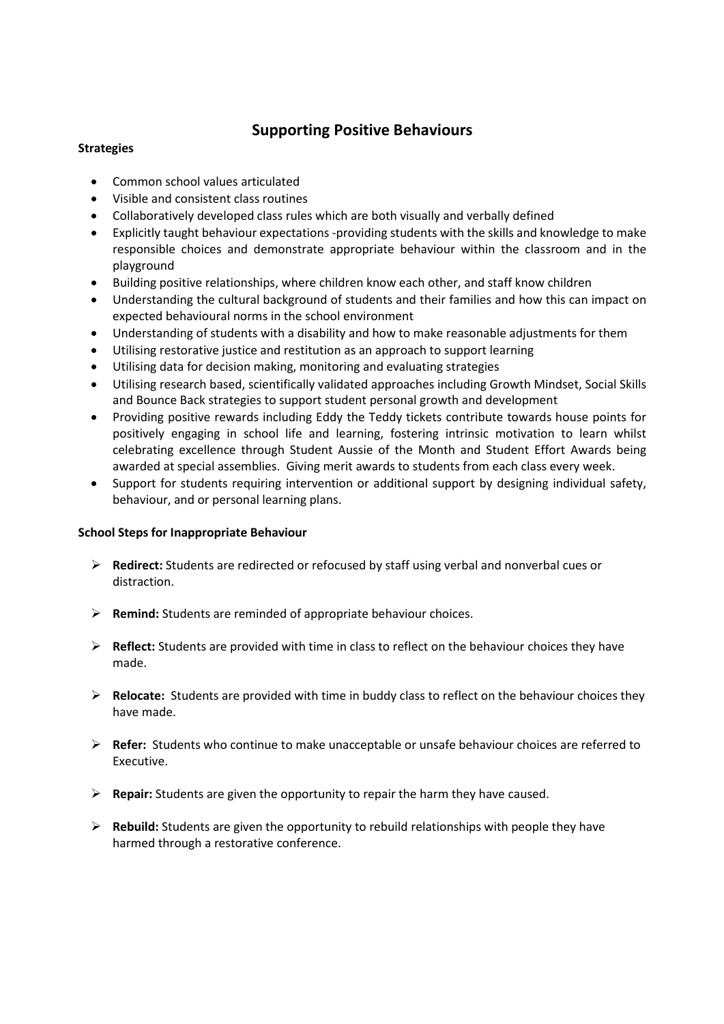## **Supporting Positive Behaviours**

### **Strategies**

- Common school values articulated
- Visible and consistent class routines
- Collaboratively developed class rules which are both visually and verbally defined
- Explicitly taught behaviour expectations -providing students with the skills and knowledge to make responsible choices and demonstrate appropriate behaviour within the classroom and in the playground
- Building positive relationships, where children know each other, and staff know children
- Understanding the cultural background of students and their families and how this can impact on expected behavioural norms in the school environment
- Understanding of students with a disability and how to make reasonable adjustments for them
- Utilising restorative justice and restitution as an approach to support learning
- Utilising data for decision making, monitoring and evaluating strategies
- Utilising research based, scientifically validated approaches including Growth Mindset, Social Skills and Bounce Back strategies to support student personal growth and development
- Providing positive rewards including Eddy the Teddy tickets contribute towards house points for positively engaging in school life and learning, fostering intrinsic motivation to learn whilst celebrating excellence through Student Aussie of the Month and Student Effort Awards being awarded at special assemblies. Giving merit awards to students from each class every week.
- Support for students requiring intervention or additional support by designing individual safety, behaviour, and or personal learning plans.

### **School Steps for Inappropriate Behaviour**

- ➢ **Redirect:** Students are redirected or refocused by staff using verbal and nonverbal cues or distraction.
- ➢ **Remind:** Students are reminded of appropriate behaviour choices.
- ➢ **Reflect:** Students are provided with time in class to reflect on the behaviour choices they have made.
- ➢ **Relocate:** Students are provided with time in buddy class to reflect on the behaviour choices they have made.
- ➢ **Refer:** Students who continue to make unacceptable or unsafe behaviour choices are referred to Executive.
- ➢ **Repair:** Students are given the opportunity to repair the harm they have caused.
- ➢ **Rebuild:** Students are given the opportunity to rebuild relationships with people they have harmed through a restorative conference.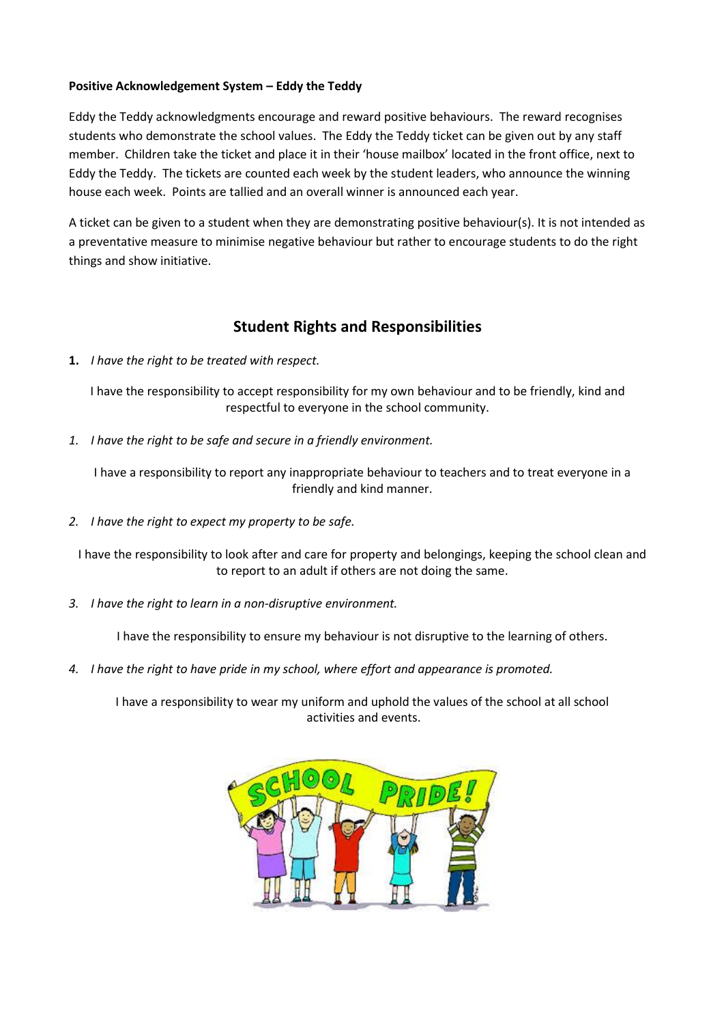#### **Positive Acknowledgement System – Eddy the Teddy**

Eddy the Teddy acknowledgments encourage and reward positive behaviours. The reward recognises students who demonstrate the school values. The Eddy the Teddy ticket can be given out by any staff member. Children take the ticket and place it in their 'house mailbox' located in the front office, next to Eddy the Teddy. The tickets are counted each week by the student leaders, who announce the winning house each week. Points are tallied and an overall winner is announced each year.

A ticket can be given to a student when they are demonstrating positive behaviour(s). It is not intended as a preventative measure to minimise negative behaviour but rather to encourage students to do the right things and show initiative.

### **Student Rights and Responsibilities**

**1.** *I have the right to be treated with respect.*

I have the responsibility to accept responsibility for my own behaviour and to be friendly, kind and respectful to everyone in the school community.

*1. I have the right to be safe and secure in a friendly environment.* 

I have a responsibility to report any inappropriate behaviour to teachers and to treat everyone in a friendly and kind manner.

*2. I have the right to expect my property to be safe.*

I have the responsibility to look after and care for property and belongings, keeping the school clean and to report to an adult if others are not doing the same.

*3. I have the right to learn in a non-disruptive environment.*

I have the responsibility to ensure my behaviour is not disruptive to the learning of others.

*4. I have the right to have pride in my school, where effort and appearance is promoted.*

I have a responsibility to wear my uniform and uphold the values of the school at all school activities and events.

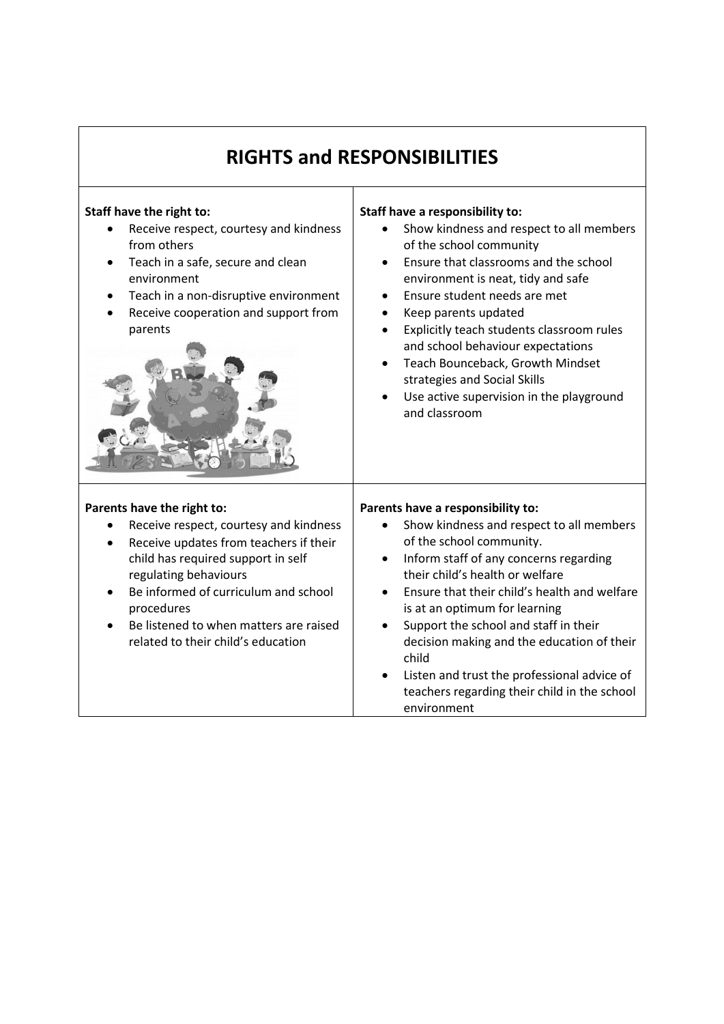| <b>RIGHTS and RESPONSIBILITIES</b>                                                                                                                                                                                                                                                                                               |                                                                                                                                                                                                                                                                                                                                                                                                                                                                                                                              |  |  |
|----------------------------------------------------------------------------------------------------------------------------------------------------------------------------------------------------------------------------------------------------------------------------------------------------------------------------------|------------------------------------------------------------------------------------------------------------------------------------------------------------------------------------------------------------------------------------------------------------------------------------------------------------------------------------------------------------------------------------------------------------------------------------------------------------------------------------------------------------------------------|--|--|
| Staff have the right to:<br>Receive respect, courtesy and kindness<br>from others<br>Teach in a safe, secure and clean<br>environment<br>Teach in a non-disruptive environment<br>Receive cooperation and support from<br>parents                                                                                                | Staff have a responsibility to:<br>Show kindness and respect to all members<br>of the school community<br>Ensure that classrooms and the school<br>$\bullet$<br>environment is neat, tidy and safe<br>Ensure student needs are met<br>$\bullet$<br>Keep parents updated<br>Explicitly teach students classroom rules<br>$\bullet$<br>and school behaviour expectations<br>Teach Bounceback, Growth Mindset<br>$\bullet$<br>strategies and Social Skills<br>Use active supervision in the playground<br>and classroom         |  |  |
| Parents have the right to:<br>Receive respect, courtesy and kindness<br>Receive updates from teachers if their<br>child has required support in self<br>regulating behaviours<br>Be informed of curriculum and school<br>$\bullet$<br>procedures<br>Be listened to when matters are raised<br>related to their child's education | Parents have a responsibility to:<br>Show kindness and respect to all members<br>of the school community.<br>Inform staff of any concerns regarding<br>$\bullet$<br>their child's health or welfare<br>Ensure that their child's health and welfare<br>$\bullet$<br>is at an optimum for learning<br>Support the school and staff in their<br>$\bullet$<br>decision making and the education of their<br>child<br>Listen and trust the professional advice of<br>teachers regarding their child in the school<br>environment |  |  |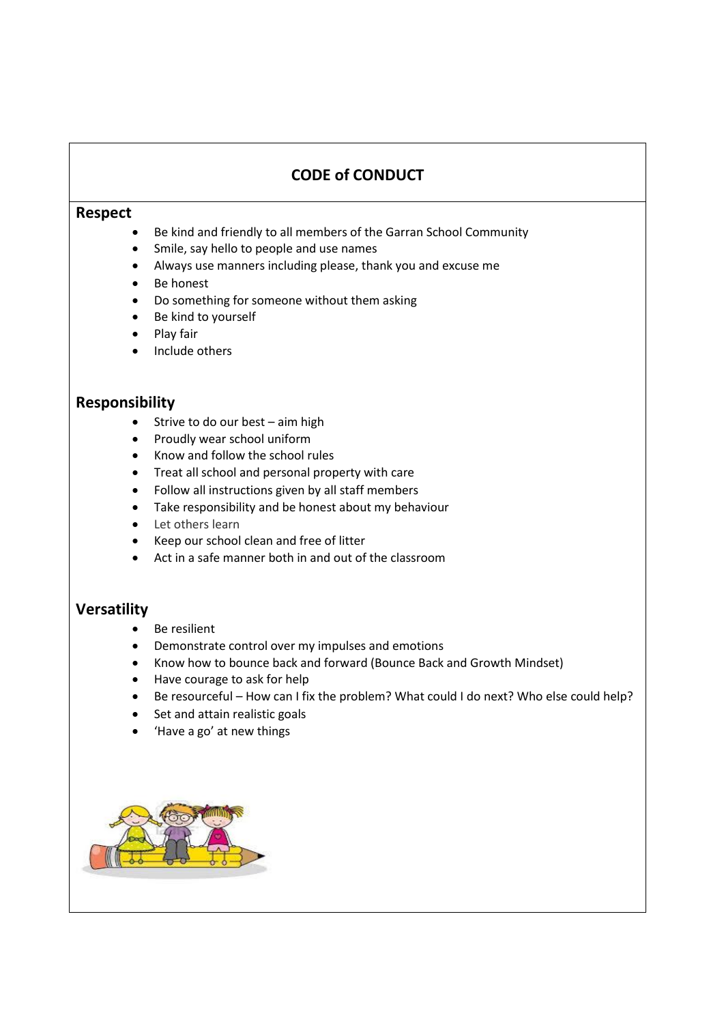# **CODE of CONDUCT**

#### **Respect**

- Be kind and friendly to all members of the Garran School Community
- Smile, say hello to people and use names
- Always use manners including please, thank you and excuse me
- Be honest
- Do something for someone without them asking
- Be kind to yourself
- Play fair
- Include others

### **Responsibility**

- Strive to do our best aim high
- Proudly wear school uniform
- Know and follow the school rules
- Treat all school and personal property with care
- Follow all instructions given by all staff members
- Take responsibility and be honest about my behaviour
- Let others learn
- Keep our school clean and free of litter
- Act in a safe manner both in and out of the classroom

### **Versatility**

- Be resilient
- Demonstrate control over my impulses and emotions
- Know how to bounce back and forward (Bounce Back and Growth Mindset)
- Have courage to ask for help
- Be resourceful How can I fix the problem? What could I do next? Who else could help?
- Set and attain realistic goals
- 'Have a go' at new things

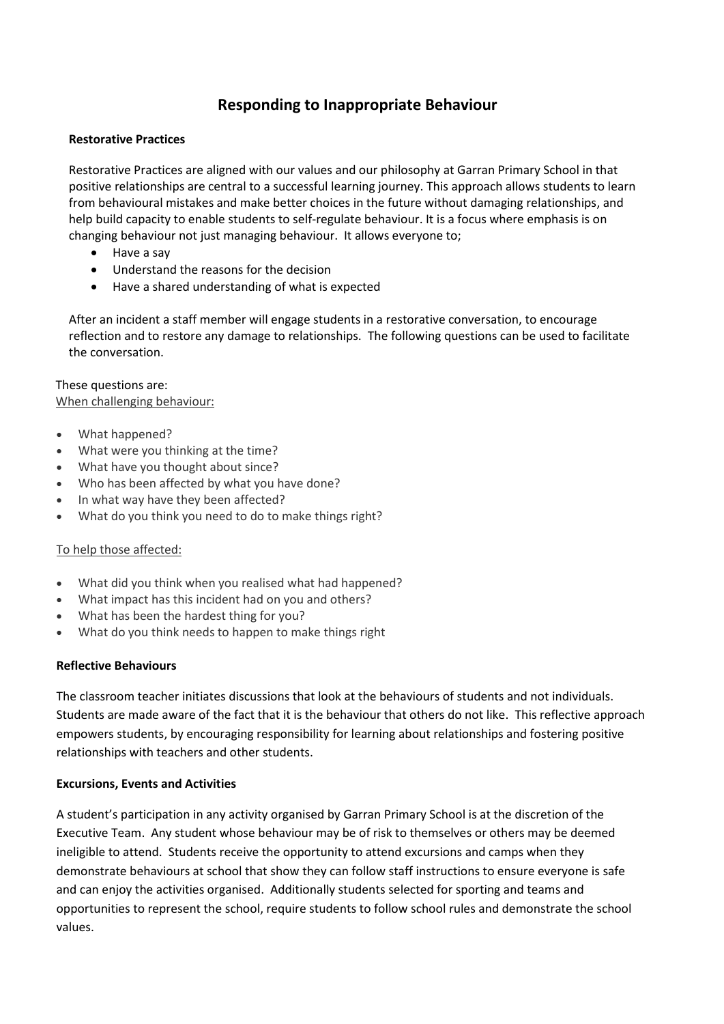# **Responding to Inappropriate Behaviour**

#### **Restorative Practices**

Restorative Practices are aligned with our values and our philosophy at Garran Primary School in that positive relationships are central to a successful learning journey. This approach allows students to learn from behavioural mistakes and make better choices in the future without damaging relationships, and help build capacity to enable students to self-regulate behaviour. It is a focus where emphasis is on changing behaviour not just managing behaviour. It allows everyone to;

- Have a say
- Understand the reasons for the decision
- Have a shared understanding of what is expected

After an incident a staff member will engage students in a restorative conversation, to encourage reflection and to restore any damage to relationships. The following questions can be used to facilitate the conversation.

#### These questions are:

When challenging behaviour:

- What happened?
- What were you thinking at the time?
- What have you thought about since?
- Who has been affected by what you have done?
- In what way have they been affected?
- What do you think you need to do to make things right?

#### To help those affected:

- What did you think when you realised what had happened?
- What impact has this incident had on you and others?
- What has been the hardest thing for you?
- What do you think needs to happen to make things right

#### **Reflective Behaviours**

The classroom teacher initiates discussions that look at the behaviours of students and not individuals. Students are made aware of the fact that it is the behaviour that others do not like. This reflective approach empowers students, by encouraging responsibility for learning about relationships and fostering positive relationships with teachers and other students.

#### **Excursions, Events and Activities**

A student's participation in any activity organised by Garran Primary School is at the discretion of the Executive Team. Any student whose behaviour may be of risk to themselves or others may be deemed ineligible to attend. Students receive the opportunity to attend excursions and camps when they demonstrate behaviours at school that show they can follow staff instructions to ensure everyone is safe and can enjoy the activities organised. Additionally students selected for sporting and teams and opportunities to represent the school, require students to follow school rules and demonstrate the school values.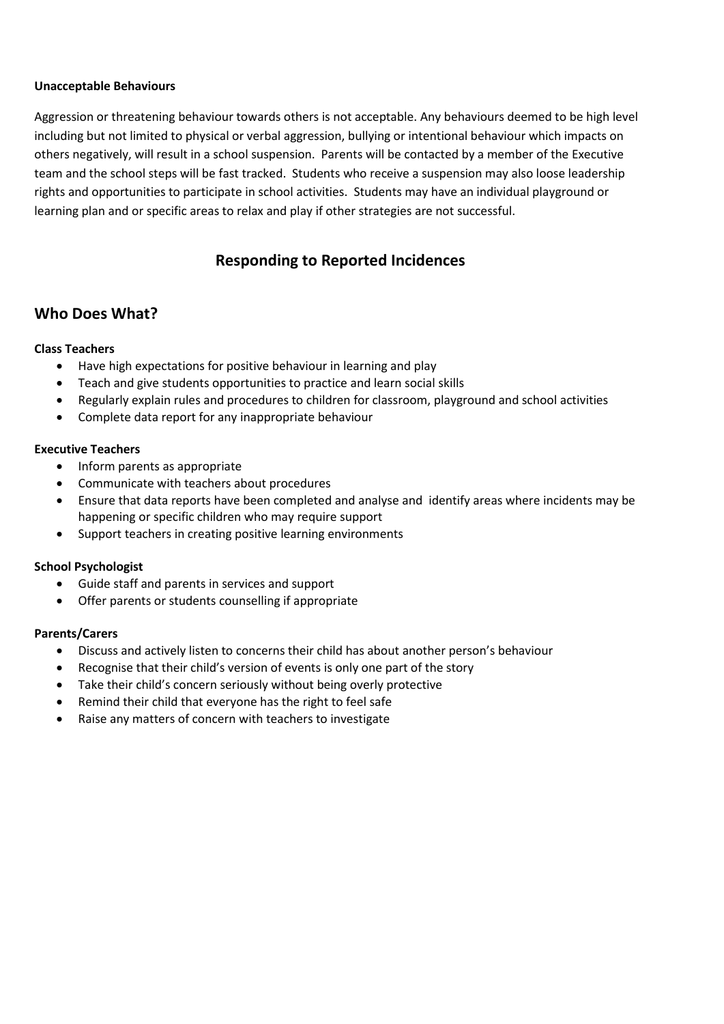#### **Unacceptable Behaviours**

Aggression or threatening behaviour towards others is not acceptable. Any behaviours deemed to be high level including but not limited to physical or verbal aggression, bullying or intentional behaviour which impacts on others negatively, will result in a school suspension. Parents will be contacted by a member of the Executive team and the school steps will be fast tracked. Students who receive a suspension may also loose leadership rights and opportunities to participate in school activities. Students may have an individual playground or learning plan and or specific areas to relax and play if other strategies are not successful.

# **Responding to Reported Incidences**

## **Who Does What?**

### **Class Teachers**

- Have high expectations for positive behaviour in learning and play
- Teach and give students opportunities to practice and learn social skills
- Regularly explain rules and procedures to children for classroom, playground and school activities
- Complete data report for any inappropriate behaviour

#### **Executive Teachers**

- Inform parents as appropriate
- Communicate with teachers about procedures
- Ensure that data reports have been completed and analyse and identify areas where incidents may be happening or specific children who may require support
- Support teachers in creating positive learning environments

### **School Psychologist**

- Guide staff and parents in services and support
- Offer parents or students counselling if appropriate

### **Parents/Carers**

- Discuss and actively listen to concerns their child has about another person's behaviour
- Recognise that their child's version of events is only one part of the story
- Take their child's concern seriously without being overly protective
- Remind their child that everyone has the right to feel safe
- Raise any matters of concern with teachers to investigate